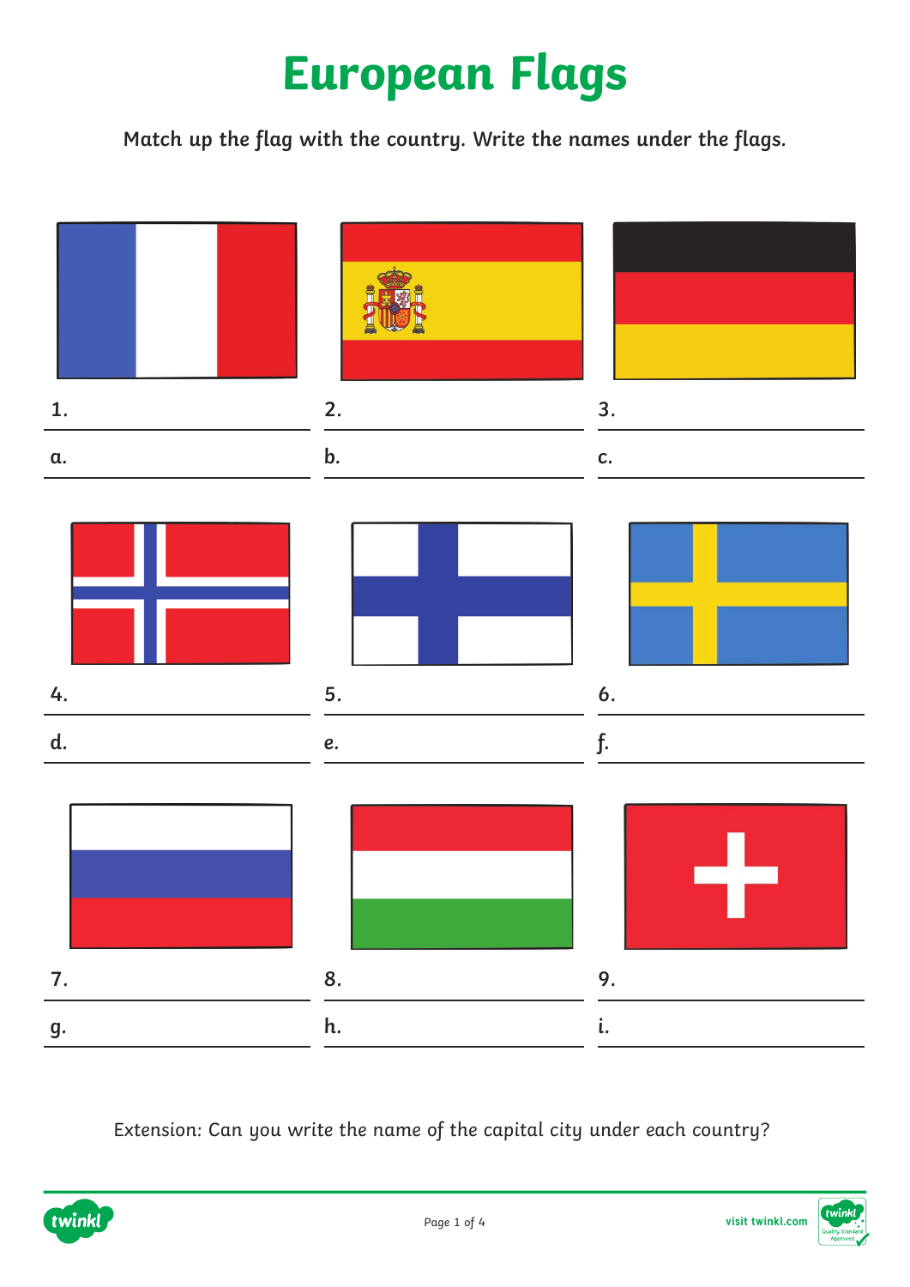**Match up the flag with the country. Write the names under the flags.**



Extension: Can you write the name of the capital city under each country?



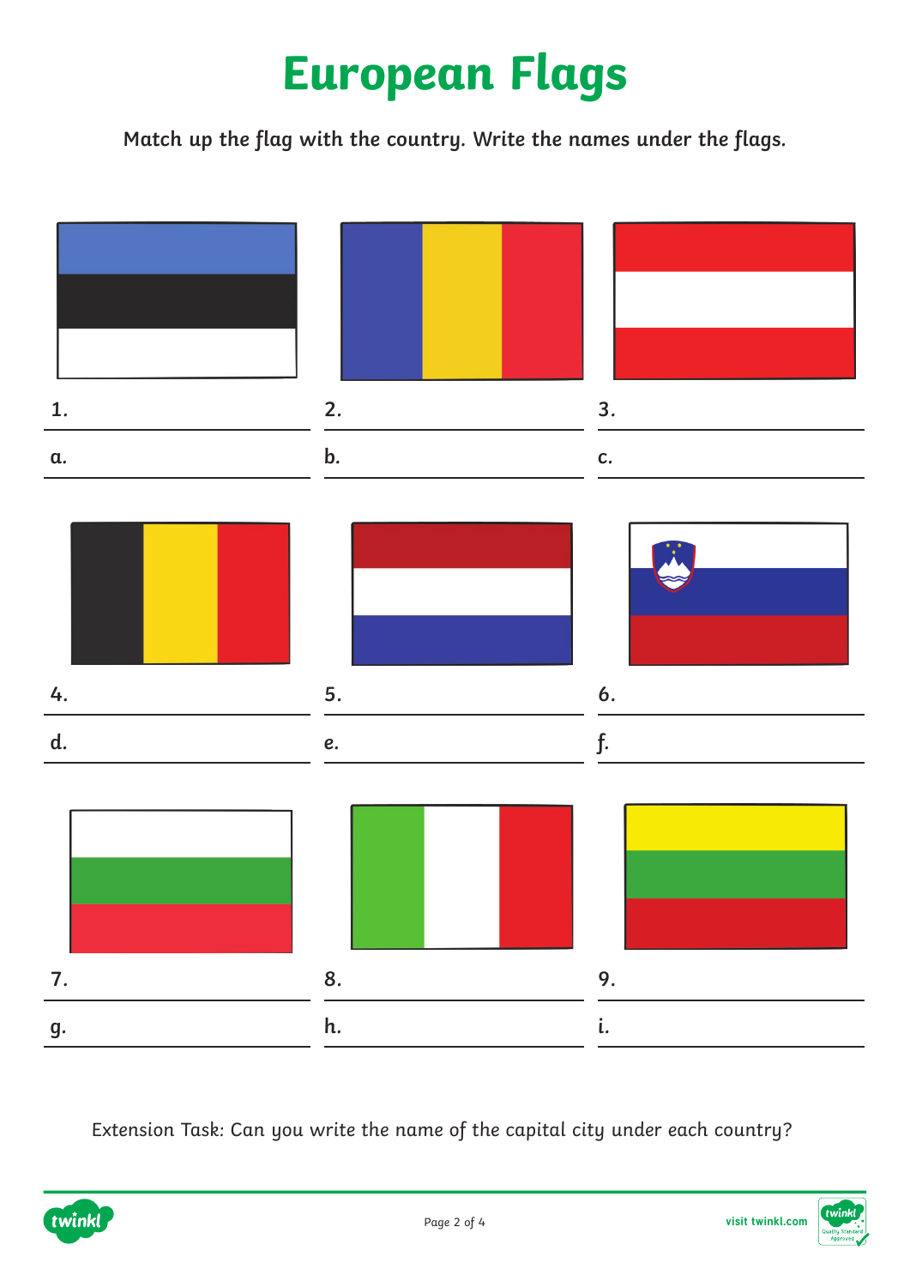**Match up the flag with the country. Write the names under the flags.**



Extension Task: Can you write the name of the capital city under each country?



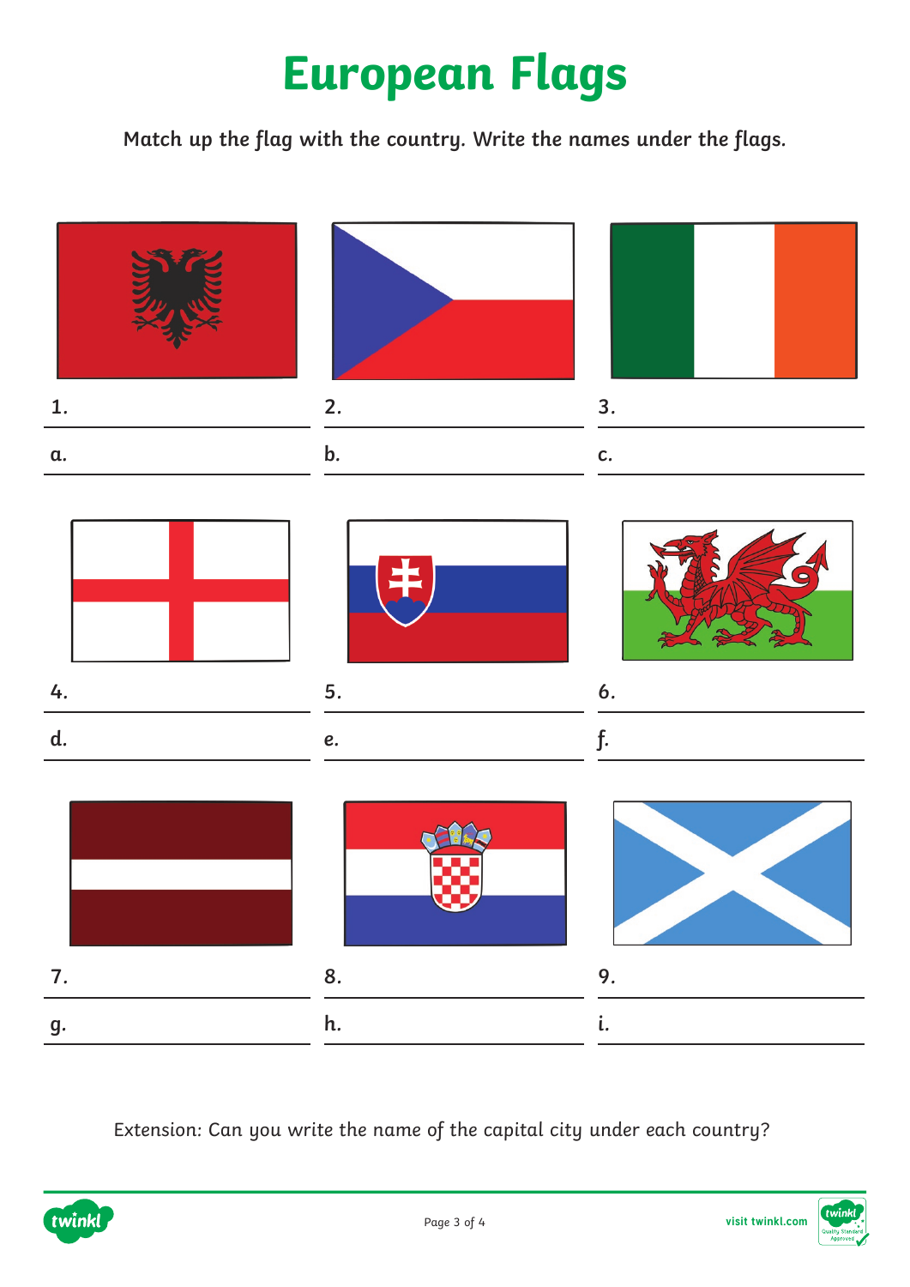**Match up the flag with the country. Write the names under the flags.**



Extension: Can you write the name of the capital city under each country?



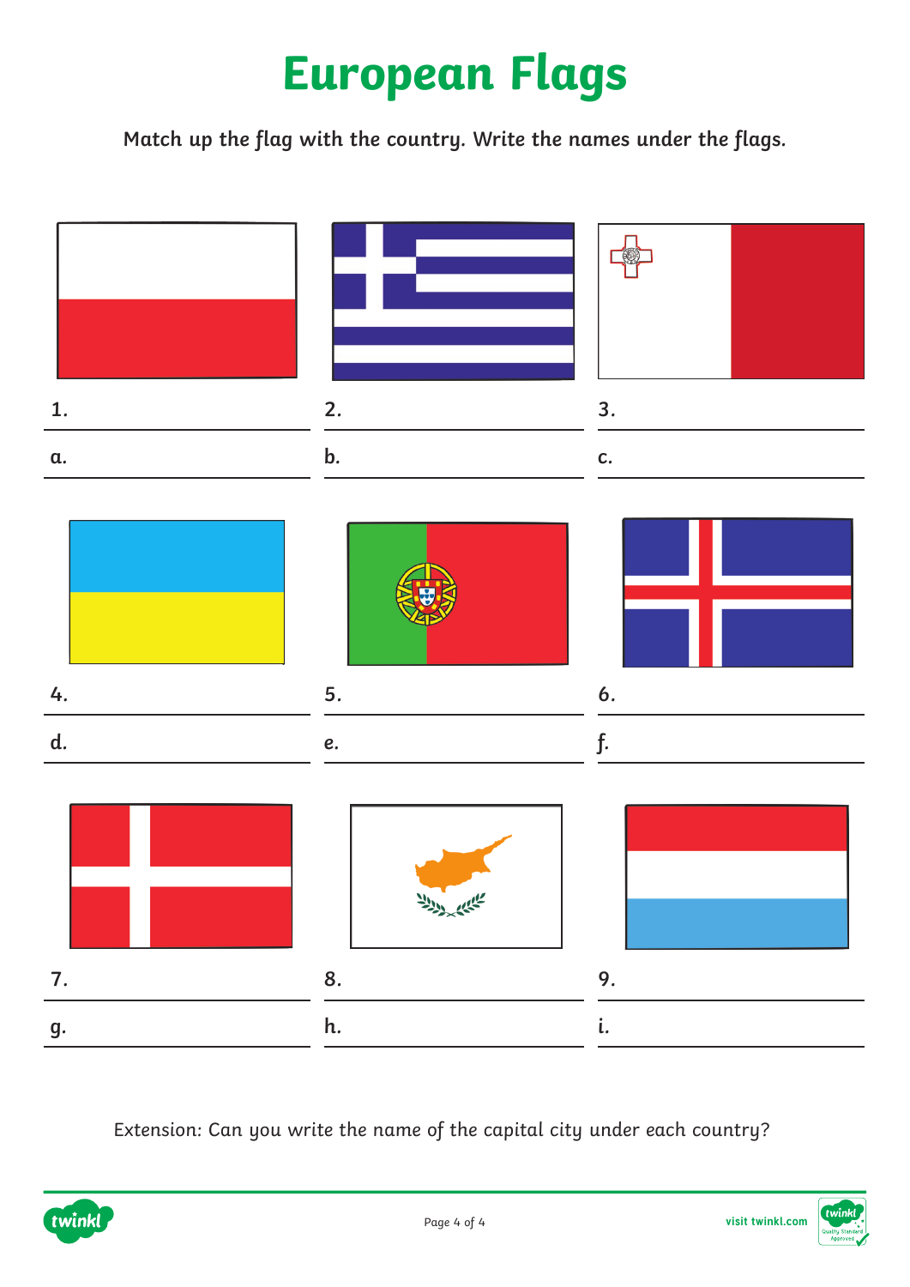**Match up the flag with the country. Write the names under the flags.**



Extension: Can you write the name of the capital city under each country?